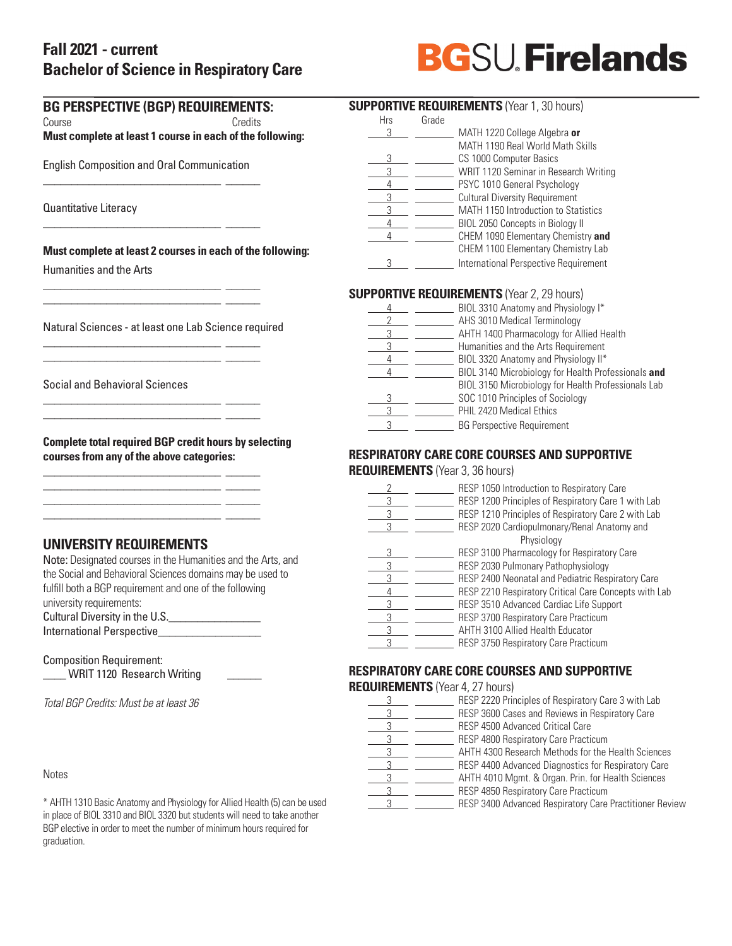# **Fall 2021 - current Bachelor of Science in Respiratory Care**

# **BGSU Firelands**

# **BG PERSPECTIVE (BGP) REQUIREMENTS:**

Course Credits

**Must complete at least 1 course in each of the following:** 

English Composition and Oral Communication \_\_\_\_\_\_\_\_\_\_\_\_\_\_\_\_\_\_\_\_\_\_\_\_\_\_\_\_\_\_\_ \_\_\_\_\_\_

\_\_\_\_\_\_\_\_\_\_\_\_\_\_\_\_\_\_\_\_\_\_\_\_\_\_\_\_\_\_\_ \_\_\_\_\_\_

\_\_\_\_\_\_\_\_\_\_\_\_\_\_\_\_\_\_\_\_\_\_\_\_\_\_\_\_\_\_\_ \_\_\_\_\_\_ \_\_\_\_\_\_\_\_\_\_\_\_\_\_\_\_\_\_\_\_\_\_\_\_\_\_\_\_\_\_\_ \_\_\_\_\_\_

\_\_\_\_\_\_\_\_\_\_\_\_\_\_\_\_\_\_\_\_\_\_\_\_\_\_\_\_\_\_\_ \_\_\_\_\_\_ \_\_\_\_\_\_\_\_\_\_\_\_\_\_\_\_\_\_\_\_\_\_\_\_\_\_\_\_\_\_\_ \_\_\_\_\_\_

\_\_\_\_\_\_\_\_\_\_\_\_\_\_\_\_\_\_\_\_\_\_\_\_\_\_\_\_\_\_\_ \_\_\_\_\_\_ \_\_\_\_\_\_\_\_\_\_\_\_\_\_\_\_\_\_\_\_\_\_\_\_\_\_\_\_\_\_\_ \_\_\_\_\_\_

\_\_\_\_\_\_\_\_\_\_\_\_\_\_\_\_\_\_\_\_\_\_\_\_\_\_\_\_\_\_\_ \_\_\_\_\_\_ \_\_\_\_\_\_\_\_\_\_\_\_\_\_\_\_\_\_\_\_\_\_\_\_\_\_\_\_\_\_\_ \_\_\_\_\_\_  $\frac{1}{\sqrt{2}}$  ,  $\frac{1}{\sqrt{2}}$  ,  $\frac{1}{\sqrt{2}}$  ,  $\frac{1}{\sqrt{2}}$  ,  $\frac{1}{\sqrt{2}}$  ,  $\frac{1}{\sqrt{2}}$  ,  $\frac{1}{\sqrt{2}}$  ,  $\frac{1}{\sqrt{2}}$  ,  $\frac{1}{\sqrt{2}}$  ,  $\frac{1}{\sqrt{2}}$  ,  $\frac{1}{\sqrt{2}}$  ,  $\frac{1}{\sqrt{2}}$  ,  $\frac{1}{\sqrt{2}}$  ,  $\frac{1}{\sqrt{2}}$  ,  $\frac{1}{\sqrt{2}}$ \_\_\_\_\_\_\_\_\_\_\_\_\_\_\_\_\_\_\_\_\_\_\_\_\_\_\_\_\_\_\_ \_\_\_\_\_\_

Quantitative Literacy

**Must complete at least 2 courses in each of the following:** Humanities and the Arts

Natural Sciences - at least one Lab Science required

Social and Behavioral Sciences

**Complete total required BGP credit hours by selecting courses from any of the above categories:**

# **UNIVERSITY REQUIREMENTS**

Note: Designated courses in the Humanities and the Arts, and the Social and Behavioral Sciences domains may be used to fulfill both a BGP requirement and one of the following university requirements: Cultural Diversity in the U.S.

International Perspective\_\_\_\_\_\_\_\_\_\_\_\_\_\_\_\_\_\_

#### Composition Requirement: WRIT 1120 Research Writing

*Total BGP Credits: Must be at least 36*

#### Notes

\* AHTH 1310 Basic Anatomy and Physiology for Allied Health (5) can be used in place of BIOL 3310 and BIOL 3320 but students will need to take another BGP elective in order to meet the number of minimum hours required for graduation.

# **SUPPORTIVE REQUIREMENTS** (Year 1, 30 hours)

| <b>Hrs</b> | Grade |                                           |
|------------|-------|-------------------------------------------|
| 3          |       | MATH 1220 College Algebra or              |
|            |       | MATH 1190 Real World Math Skills          |
| 3          |       | CS 1000 Computer Basics                   |
|            |       | WRIT 1120 Seminar in Research Writing     |
|            |       | PSYC 1010 General Psychology              |
|            |       | <b>Cultural Diversity Requirement</b>     |
|            |       | MATH 1150 Introduction to Statistics      |
|            |       | BIOL 2050 Concepts in Biology II          |
|            |       | CHEM 1090 Elementary Chemistry and        |
|            |       | <b>CHEM 1100 Elementary Chemistry Lab</b> |
|            |       | International Perspective Requirement     |

#### **SUPPORTIVE REQUIREMENTS** (Year 2, 29 hours)

|  | BIOL 3310 Anatomy and Physiology I*                 |
|--|-----------------------------------------------------|
|  | AHS 3010 Medical Terminology                        |
|  | AHTH 1400 Pharmacology for Allied Health            |
|  | Humanities and the Arts Requirement                 |
|  | BIOL 3320 Anatomy and Physiology II*                |
|  | BIOL 3140 Microbiology for Health Professionals and |
|  | BIOL 3150 Microbiology for Health Professionals Lab |
|  | SOC 1010 Principles of Sociology                    |
|  | PHIL 2420 Medical Ethics                            |
|  | <b>BG Perspective Requirement</b>                   |

# **RESPIRATORY CARE CORE COURSES AND SUPPORTIVE**

#### **REQUIREMENTS** (Year 3, 36 hours)

|   | RESP 1050 Introduction to Respiratory Care            |
|---|-------------------------------------------------------|
|   | RESP 1200 Principles of Respiratory Care 1 with Lab   |
|   | RESP 1210 Principles of Respiratory Care 2 with Lab   |
|   | RESP 2020 Cardiopulmonary/Renal Anatomy and           |
|   | Physiology                                            |
| 3 | RESP 3100 Pharmacology for Respiratory Care           |
|   | RESP 2030 Pulmonary Pathophysiology                   |
|   | RESP 2400 Neonatal and Pediatric Respiratory Care     |
|   | RESP 2210 Respiratory Critical Care Concepts with Lab |
|   | RESP 3510 Advanced Cardiac Life Support               |
|   | RESP 3700 Respiratory Care Practicum                  |
|   | <b>AHTH 3100 Allied Health Educator</b>               |
|   | <b>RESP 3750 Respiratory Care Practicum</b>           |
|   |                                                       |

# **RESPIRATORY CARE CORE COURSES AND SUPPORTIVE**

### **REQUIREMENTS** (Year 4, 27 hours)

|  | RESP 2220 Principles of Respiratory Care 3 with Lab     |
|--|---------------------------------------------------------|
|  | RESP 3600 Cases and Reviews in Respiratory Care         |
|  | RESP 4500 Advanced Critical Care                        |
|  | <b>RESP 4800 Respiratory Care Practicum</b>             |
|  | AHTH 4300 Research Methods for the Health Sciences      |
|  | RESP 4400 Advanced Diagnostics for Respiratory Care     |
|  | AHTH 4010 Mgmt. & Organ. Prin. for Health Sciences      |
|  | RESP 4850 Respiratory Care Practicum                    |
|  | RESP 3400 Advanced Respiratory Care Practitioner Review |
|  |                                                         |